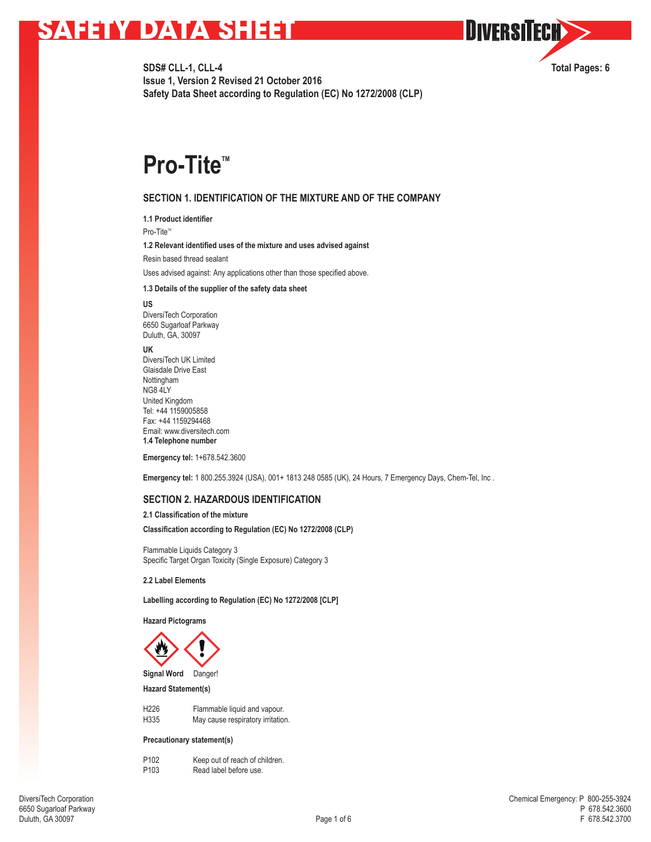**SDS# CLL-1, CLL-4 Total Pages: 6 Issue 1, Version 2 Revised 21 October 2016 Safety Data Sheet according to Regulation (EC) No 1272/2008 (CLP)**

**OUVERSITECH** 

# **Pro-Tite™**

## **SECTION 1. IDENTIFICATION OF THE MIXTURE AND OF THE COMPANY**

**1.1 Product identifier**

Pro-Tite<sup>™</sup>

**1.2 Relevant identified uses of the mixture and uses advised against**

Resin based thread sealant

Uses advised against: Any applications other than those specified above.

#### **1.3 Details of the supplier of the safety data sheet**

**US**

DiversiTech Corporation 6650 Sugarloaf Parkway Duluth, GA, 30097

**UK**

DiversiTech UK Limited Glaisdale Drive East Nottingham NG8 4LY United Kingdom Tel: +44 1159005858 Fax: +44 1159294468 Email: www.diversitech.com **1.4 Telephone number**

**Emergency tel:** 1+678.542.3600

**Emergency tel:** 1 800.255.3924 (USA), 001+ 1813 248 0585 (UK), 24 Hours, 7 Emergency Days, Chem-Tel, Inc .

## **SECTION 2. HAZARDOUS IDENTIFICATION**

**2.1 Classification of the mixture**

**Classification according to Regulation (EC) No 1272/2008 (CLP)**

Flammable Liquids Category 3 Specific Target Organ Toxicity (Single Exposure) Category 3

**2.2 Label Elements**

**Labelling according to Regulation (EC) No 1272/2008 [CLP]**

**Hazard Pictograms**



**Signal Word** Danger!

## **Hazard Statement(s)**

| H <sub>226</sub> | Flammable liquid and vapour.      |
|------------------|-----------------------------------|
| H335             | May cause respiratory irritation. |

#### **Precautionary statement(s)**

| P <sub>102</sub> | Keep out of reach of children. |
|------------------|--------------------------------|
| P <sub>103</sub> | Read label before use.         |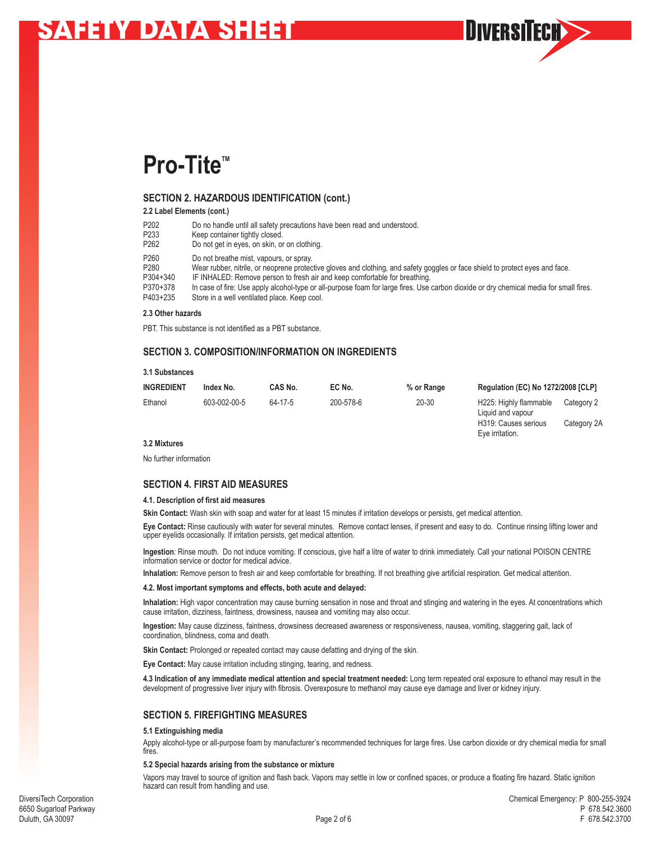

## **SECTION 2. HAZARDOUS IDENTIFICATION (cont.)**

**2.2 Label Elements (cont.)**

- P202 Do no handle until all safety precautions have been read and understood.<br>P233 Keep container tightly closed.
- P233 Keep container tightly closed.<br>P262 Do not get in eves, on skin, or
- Do not get in eyes, on skin, or on clothing.
- P260 Do not breathe mist, vapours, or spray.<br>P280 Wear rubber, pitrile, or neoprene protected
- P280 Wear rubber, nitrile, or neoprene protective gloves and clothing, and safety goggles or face shield to protect eyes and face.<br>P304+340 FINHALED: Remove person to fresh air and keep comfortable for breathing.
- 
- P304+340 IF INHALED: Remove person to fresh air and keep comfortable for breathing.<br>P370+378 In case of fire: Use apply alcohol-type or all-purpose foam for large fires. Use P370+378 In case of fire: Use apply alcohol-type or all-purpose foam for large fires. Use carbon dioxide or dry chemical media for small fires.<br>P403+235 Store in a well ventilated place. Keep cool. Store in a well ventilated place. Keep cool.

#### **2.3 Other hazards**

PBT. This substance is not identified as a PBT substance.

## **SECTION 3. COMPOSITION/INFORMATION ON INGREDIENTS**

#### **3.1 Substances**

| <b>INGREDIENT</b> | Index No.    | CAS No. | EC No.    | % or Range | <b>Regulation (EC) No 1272/2008 [CLP]</b>    |            |
|-------------------|--------------|---------|-----------|------------|----------------------------------------------|------------|
| Ethanol           | 603-002-00-5 | 64-17-5 | 200-578-6 | 20-30      | H225: Highly flammable<br>まきに きは エンゴー エンジェース | Category 2 |

Liquid and vapour H319: Causes serious Category 2A Eye irritation.

**DIVERSITECH>>** 

#### **3.2 Mixtures**

No further information

## **SECTION 4. FIRST AID MEASURES**

#### **4.1. Description of first aid measures**

**Skin Contact:** Wash skin with soap and water for at least 15 minutes if irritation develops or persists, get medical attention.

**Eye Contact:** Rinse cautiously with water for several minutes. Remove contact lenses, if present and easy to do. Continue rinsing lifting lower and upper eyelids occasionally. If irritation persists, get medical attention.

**Ingestion**: Rinse mouth. Do not induce vomiting. If conscious, give half a litre of water to drink immediately. Call your national POISON CENTRE information service or doctor for medical advice.

**Inhalation:** Remove person to fresh air and keep comfortable for breathing. If not breathing give artificial respiration. Get medical attention.

#### **4.2. Most important symptoms and effects, both acute and delayed:**

**Inhalation:** High vapor concentration may cause burning sensation in nose and throat and stinging and watering in the eyes. At concentrations which cause irritation, dizziness, faintness, drowsiness, nausea and vomiting may also occur.

**Ingestion:** May cause dizziness, faintness, drowsiness decreased awareness or responsiveness, nausea, vomiting, staggering gait, lack of coordination, blindness, coma and death.

Skin Contact: Prolonged or repeated contact may cause defatting and drying of the skin.

**Eye Contact:** May cause irritation including stinging, tearing, and redness.

**4.3 Indication of any immediate medical attention and special treatment needed:** Long term repeated oral exposure to ethanol may result in the development of progressive liver injury with fibrosis. Overexposure to methanol may cause eye damage and liver or kidney injury.

## **SECTION 5. FIREFIGHTING MEASURES**

#### **5.1 Extinguishing media**

Apply alcohol-type or all-purpose foam by manufacturer's recommended techniques for large fires. Use carbon dioxide or dry chemical media for small fires

#### **5.2 Special hazards arising from the substance or mixture**

Vapors may travel to source of ignition and flash back. Vapors may settle in low or confined spaces, or produce a floating fire hazard. Static ignition hazard can result from handling and use.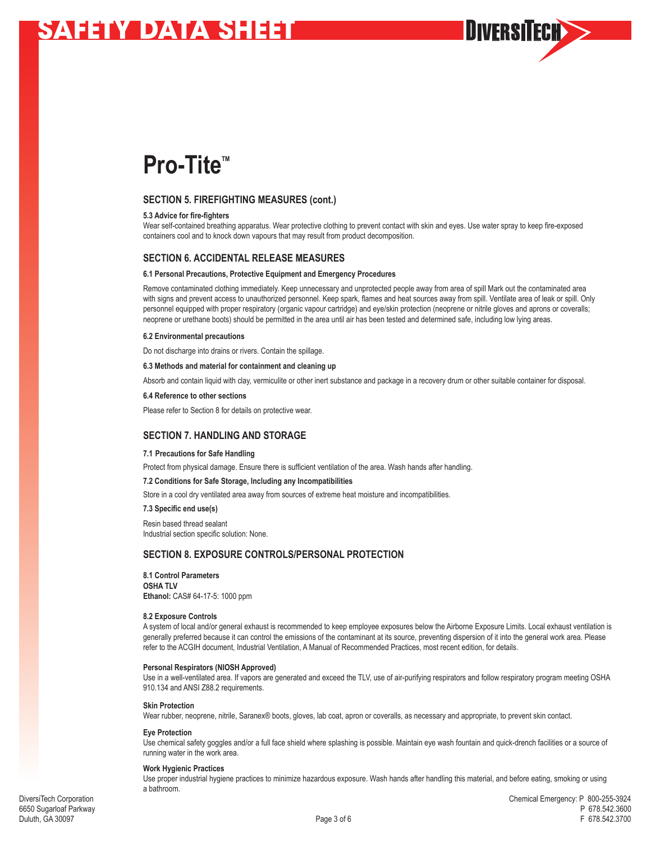

## **SECTION 5. FIREFIGHTING MEASURES (cont.)**

#### **5.3 Advice for fire-fighters**

Wear self-contained breathing apparatus. Wear protective clothing to prevent contact with skin and eyes. Use water spray to keep fire-exposed containers cool and to knock down vapours that may result from product decomposition.

## **SECTION 6. ACCIDENTAL RELEASE MEASURES**

#### **6.1 Personal Precautions, Protective Equipment and Emergency Procedures**

Remove contaminated clothing immediately. Keep unnecessary and unprotected people away from area of spill Mark out the contaminated area with signs and prevent access to unauthorized personnel. Keep spark, flames and heat sources away from spill. Ventilate area of leak or spill. Only personnel equipped with proper respiratory (organic vapour cartridge) and eye/skin protection (neoprene or nitrile gloves and aprons or coveralls; neoprene or urethane boots) should be permitted in the area until air has been tested and determined safe, including low lying areas.

#### **6.2 Environmental precautions**

Do not discharge into drains or rivers. Contain the spillage.

#### **6.3 Methods and material for containment and cleaning up**

Absorb and contain liquid with clay, vermiculite or other inert substance and package in a recovery drum or other suitable container for disposal.

#### **6.4 Reference to other sections**

Please refer to Section 8 for details on protective wear.

## **SECTION 7. HANDLING AND STORAGE**

#### **7.1 Precautions for Safe Handling**

Protect from physical damage. Ensure there is sufficient ventilation of the area. Wash hands after handling.

#### **7.2 Conditions for Safe Storage, Including any Incompatibilities**

Store in a cool dry ventilated area away from sources of extreme heat moisture and incompatibilities.

#### **7.3 Specific end use(s)**

Resin based thread sealant Industrial section specific solution: None.

## **SECTION 8. EXPOSURE CONTROLS/PERSONAL PROTECTION**

#### **8.1 Control Parameters**

**OSHA TLV Ethanol:** CAS# 64-17-5: 1000 ppm

#### **8.2 Exposure Controls**

A system of local and/or general exhaust is recommended to keep employee exposures below the Airborne Exposure Limits. Local exhaust ventilation is generally preferred because it can control the emissions of the contaminant at its source, preventing dispersion of it into the general work area. Please refer to the ACGIH document, Industrial Ventilation, A Manual of Recommended Practices, most recent edition, for details.

#### **Personal Respirators (NIOSH Approved)**

Use in a well-ventilated area. If vapors are generated and exceed the TLV, use of air-purifying respirators and follow respiratory program meeting OSHA 910.134 and ANSI Z88.2 requirements.

#### **Skin Protection**

Wear rubber, neoprene, nitrile, Saranex® boots, gloves, lab coat, apron or coveralls, as necessary and appropriate, to prevent skin contact.

### **Eye Protection**

Use chemical safety goggles and/or a full face shield where splashing is possible. Maintain eye wash fountain and quick-drench facilities or a source of running water in the work area.

#### **Work Hygienic Practices**

Use proper industrial hygiene practices to minimize hazardous exposure. Wash hands after handling this material, and before eating, smoking or using a bathroom.

**DIVERSITECH>>**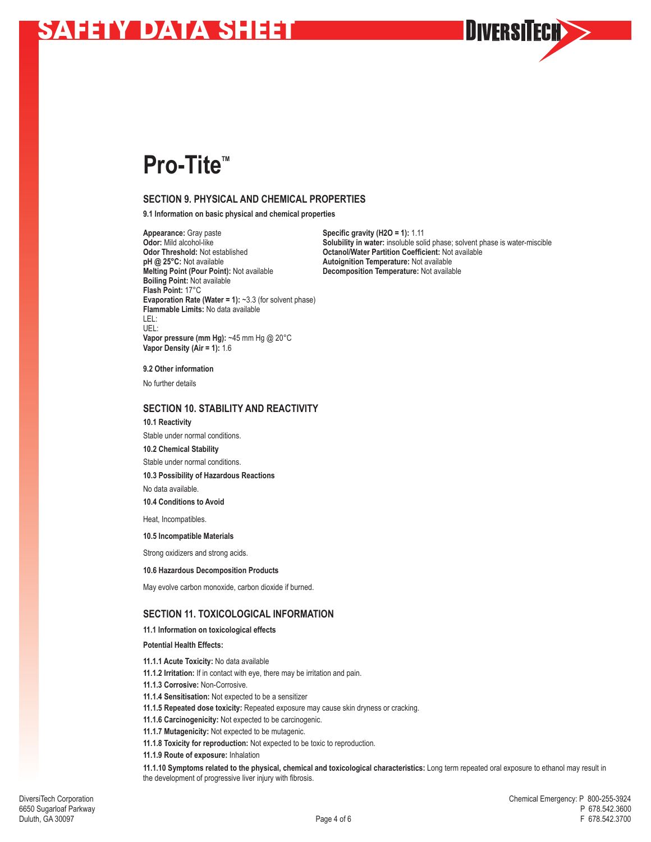

# **Pro-Tite**™

## **SECTION 9. PHYSICAL AND CHEMICAL PROPERTIES**

**9.1 Information on basic physical and chemical properties**

**Appearance:** Gray paste **Specific gravity (H2O = 1):** 1.11<br> **Odor:** Mild alcohol-like **Specific gravity in a Solubility in water:** insoluble soli **Odor Threshold:** Not established **Octanol/Water Partition Coefficient:** Not available pH @ 25°C: Not available **Dependence Not available Melting Point (Pour Point):** Not available **Decomposition Temperature:** Not available **Boiling Point:** Not available **Flash Point:** 17°C **Evaporation Rate (Water = 1):** ~3.3 (for solvent phase) **Flammable Limits:** No data available LEL:<br>UEL: UEL: **Vapor pressure (mm Hg):** ~45 mm Hg @ 20°C **Vapor Density (Air = 1):** 1.6

**Odor:** Mild alcohol-like **Solubility in water:** insoluble solid phase; solvent phase is water-miscible **Odor Threshold:** Not established **Constanting Constanting Constanting Constanting Constanting Constanting Constanting Autoignition Temperature:** Not available

#### **9.2 Other information**

No further details

## **SECTION 10. STABILITY AND REACTIVITY**

**10.1 Reactivity**

Stable under normal conditions.

**10.2 Chemical Stability** 

Stable under normal conditions.

**10.3 Possibility of Hazardous Reactions** 

No data available.

**10.4 Conditions to Avoid**

Heat, Incompatibles.

**10.5 Incompatible Materials** 

Strong oxidizers and strong acids.

**10.6 Hazardous Decomposition Products** 

May evolve carbon monoxide, carbon dioxide if burned.

## **SECTION 11. TOXICOLOGICAL INFORMATION**

### **11.1 Information on toxicological effects**

**Potential Health Effects:**

**11.1.1 Acute Toxicity:** No data available

- **11.1.2 Irritation:** If in contact with eye, there may be irritation and pain.
- **11.1.3 Corrosive:** Non-Corrosive.
- **11.1.4 Sensitisation:** Not expected to be a sensitizer
- **11.1.5 Repeated dose toxicity:** Repeated exposure may cause skin dryness or cracking.
- **11.1.6 Carcinogenicity:** Not expected to be carcinogenic.
- **11.1.7 Mutagenicity:** Not expected to be mutagenic.
- **11.1.8 Toxicity for reproduction:** Not expected to be toxic to reproduction.
- **11.1.9 Route of exposure:** Inhalation

**11.1.10 Symptoms related to the physical, chemical and toxicological characteristics:** Long term repeated oral exposure to ethanol may result in the development of progressive liver injury with fibrosis.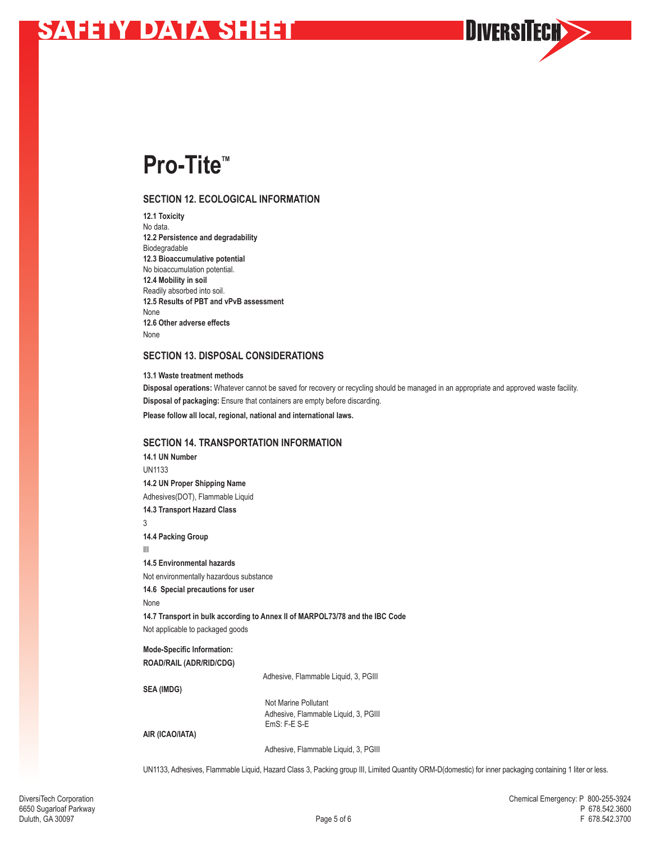# **Pro-Tite™**

## **SECTION 12. ECOLOGICAL INFORMATION**

**12.1 Toxicity** No data. **12.2 Persistence and degradability** Biodegradable **12.3 Bioaccumulative potential** No bioaccumulation potential. **12.4 Mobility in soil** Readily absorbed into soil. **12.5 Results of PBT and vPvB assessment** None **12.6 Other adverse effects** None

## **SECTION 13. DISPOSAL CONSIDERATIONS**

**13.1 Waste treatment methods Disposal operations:** Whatever cannot be saved for recovery or recycling should be managed in an appropriate and approved waste facility. **Disposal of packaging:** Ensure that containers are empty before discarding. **Please follow all local, regional, national and international laws.**

## **SECTION 14. TRANSPORTATION INFORMATION**

**14.1 UN Number** UN1133 **14.2 UN Proper Shipping Name** Adhesives(DOT), Flammable Liquid **14.3 Transport Hazard Class** 3 **14.4 Packing Group** III **14.5 Environmental hazards** Not environmentally hazardous substance **14.6 Special precautions for user**  None **14.7 Transport in bulk according to Annex II of MARPOL73/78 and the IBC Code** Not applicable to packaged goods **Mode-Specific Information: ROAD/RAIL (ADR/RID/CDG)**  Adhesive, Flammable Liquid, 3, PGIII **SEA (IMDG)**  Not Marine Pollutant Adhesive, Flammable Liquid, 3, PGIII EmS: F-E S-E **AIR (ICAO/IATA)** 

Adhesive, Flammable Liquid, 3, PGIII

UN1133, Adhesives, Flammable Liquid, Hazard Class 3, Packing group III, Limited Quantity ORM-D(domestic) for inner packaging containing 1 liter or less.

**DIVERSITECH>>**